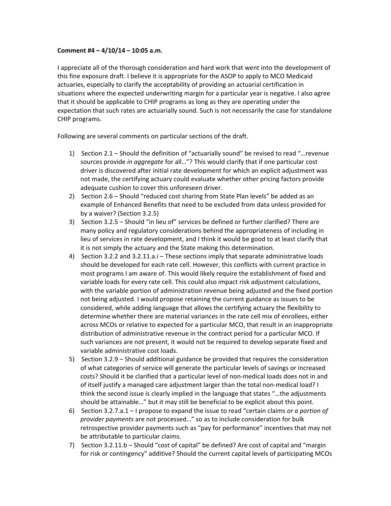## **Comment #4 – 4/10/14 – 10:05 a.m.**

I appreciate all of the thorough consideration and hard work that went into the development of this fine exposure draft. I believe it is appropriate for the ASOP to apply to MCO Medicaid actuaries, especially to clarify the acceptability of providing an actuarial certification in situations where the expected underwriting margin for a particular year is negative. I also agree that it should be applicable to CHIP programs as long as they are operating under the expectation that such rates are actuarially sound. Such is not necessarily the case for standalone CHIP programs.

Following are several comments on particular sections of the draft.

- 1) Section 2.1 Should the definition of "actuarially sound" be revised to read "…revenue sources provide *in aggregate* for all…"? This would clarify that if one particular cost driver is discovered after initial rate development for which an explicit adjustment was not made, the certifying actuary could evaluate whether other pricing factors provide adequate cushion to cover this unforeseen driver.
- 2) Section 2.6 Should "reduced cost sharing from State Plan levels" be added as an example of Enhanced Benefits that need to be excluded from data unless provided for by a waiver? (Section 3.2.5)
- 3) Section 3.2.5 Should "in lieu of" services be defined or further clarified? There are many policy and regulatory considerations behind the appropriateness of including in lieu of services in rate development, and I think it would be good to at least clarify that it is not simply the actuary and the State making this determination.
- 4) Section 3.2.2 and 3.2.11.a.i These sections imply that separate administrative loads should be developed for each rate cell. However, this conflicts with current practice in most programs I am aware of. This would likely require the establishment of fixed and variable loads for every rate cell. This could also impact risk adjustment calculations, with the variable portion of administration revenue being adjusted and the fixed portion not being adjusted. I would propose retaining the current guidance as issues to be considered, while adding language that allows the certifying actuary the flexibility to determine whether there are material variances in the rate cell mix of enrollees, either across MCOs or relative to expected for a particular MCO, that result in an inappropriate distribution of administrative revenue in the contract period for a particular MCO. If such variances are not present, it would not be required to develop separate fixed and variable administrative cost loads.
- 5) Section 3.2.9 Should additional guidance be provided that requires the consideration of what categories of service will generate the particular levels of savings or increased costs? Should it be clarified that a particular level of non‐medical loads does not in and of itself justify a managed care adjustment larger than the total non‐medical load? I think the second issue is clearly implied in the language that states "…the adjustments should be attainable…" but it may still be beneficial to be explicit about this point.
- 6) Section 3.2.7.a.1 I propose to expand the issue to read "certain claims *or a portion of provider payments* are not processed…" so as to include consideration for bulk retrospective provider payments such as "pay for performance" incentives that may not be attributable to particular claims.
- 7) Section 3.2.11.b Should "cost of capital" be defined? Are cost of capital and "margin for risk or contingency" additive? Should the current capital levels of participating MCOs